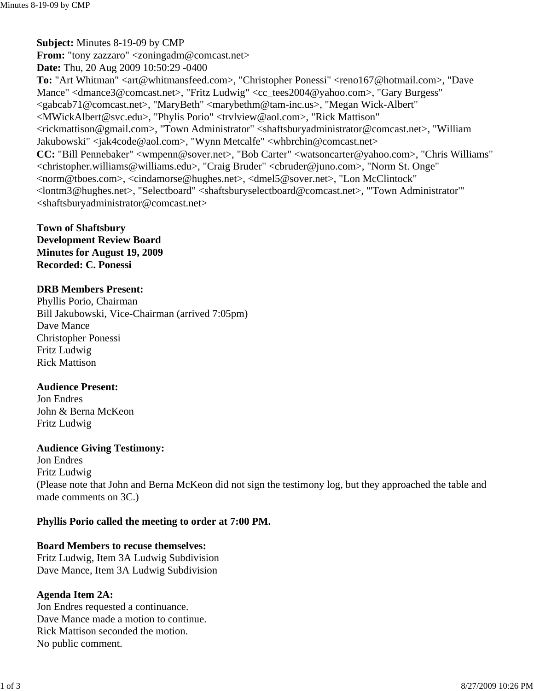**Town of Shaftsbury Development Review Board Minutes for August 19, 2009 Recorded: C. Ponessi**

### **DRB Members Present:**

Phyllis Porio, Chairman Bill Jakubowski, Vice-Chairman (arrived 7:05pm) Dave Mance Christopher Ponessi Fritz Ludwig Rick Mattison

### **Audience Present:**

Jon Endres John & Berna McKeon Fritz Ludwig

## **Audience Giving Testimony:**

Jon Endres Fritz Ludwig (Please note that John and Berna McKeon did not sign the testimony log, but they approached the table and made comments on 3C.)

# **Phyllis Porio called the meeting to order at 7:00 PM.**

## **Board Members to recuse themselves:**

Fritz Ludwig, Item 3A Ludwig Subdivision Dave Mance, Item 3A Ludwig Subdivision

# **Agenda Item 2A:**

Jon Endres requested a continuance. Dave Mance made a motion to continue. Rick Mattison seconded the motion. No public comment.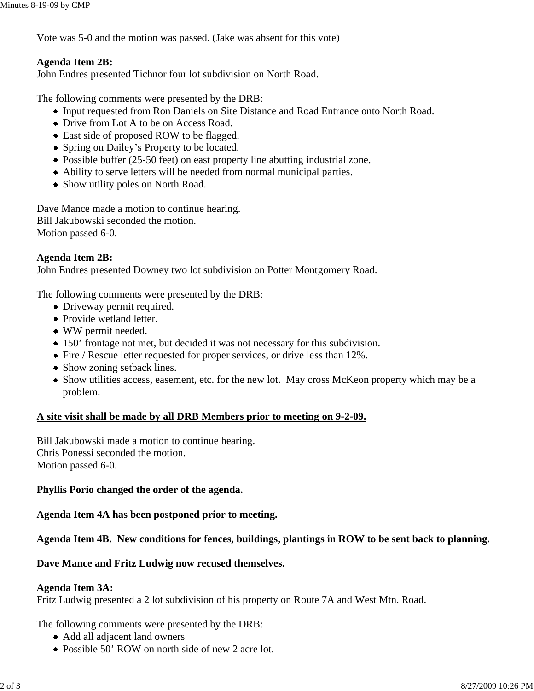Vote was 5-0 and the motion was passed. (Jake was absent for this vote)

# **Agenda Item 2B:**

John Endres presented Tichnor four lot subdivision on North Road.

The following comments were presented by the DRB:

- Input requested from Ron Daniels on Site Distance and Road Entrance onto North Road.
- Drive from Lot A to be on Access Road.
- East side of proposed ROW to be flagged.
- Spring on Dailey's Property to be located.
- Possible buffer (25-50 feet) on east property line abutting industrial zone.
- Ability to serve letters will be needed from normal municipal parties.
- Show utility poles on North Road.

Dave Mance made a motion to continue hearing. Bill Jakubowski seconded the motion. Motion passed 6-0.

## **Agenda Item 2B:**

John Endres presented Downey two lot subdivision on Potter Montgomery Road.

The following comments were presented by the DRB:

- Driveway permit required.
- Provide wetland letter.
- WW permit needed.
- 150' frontage not met, but decided it was not necessary for this subdivision.
- Fire / Rescue letter requested for proper services, or drive less than 12%.
- Show zoning setback lines.
- Show utilities access, easement, etc. for the new lot. May cross McKeon property which may be a problem.

### **A site visit shall be made by all DRB Members prior to meeting on 9-2-09.**

Bill Jakubowski made a motion to continue hearing. Chris Ponessi seconded the motion. Motion passed 6-0.

### **Phyllis Porio changed the order of the agenda.**

**Agenda Item 4A has been postponed prior to meeting.**

### **Agenda Item 4B. New conditions for fences, buildings, plantings in ROW to be sent back to planning.**

**Dave Mance and Fritz Ludwig now recused themselves.**

#### **Agenda Item 3A:**

Fritz Ludwig presented a 2 lot subdivision of his property on Route 7A and West Mtn. Road.

The following comments were presented by the DRB:

- Add all adjacent land owners
- Possible 50' ROW on north side of new 2 acre lot.